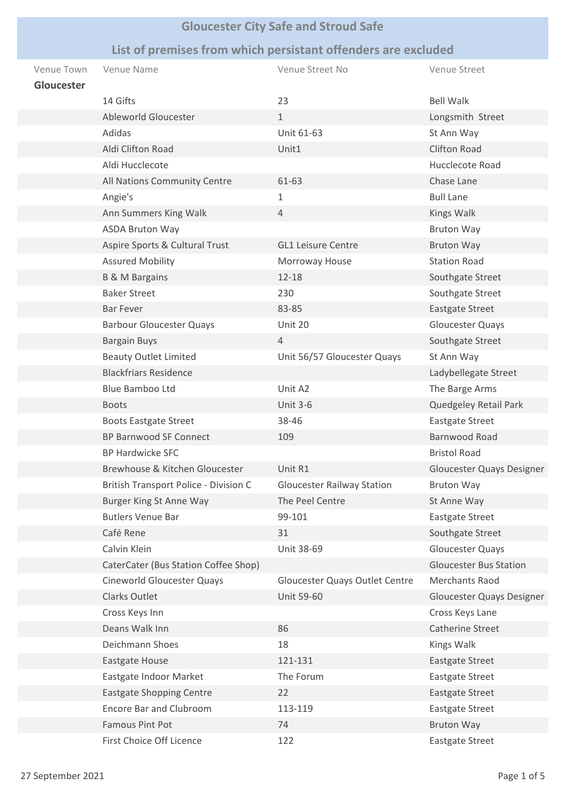## **Gloucester City Safe and Stroud Safe**

## **List of premises from which persistant offenders are excluded**

| Venue Town<br>Gloucester | Venue Name                            | Venue Street No                   | Venue Street                  |
|--------------------------|---------------------------------------|-----------------------------------|-------------------------------|
|                          | 14 Gifts                              | 23                                | <b>Bell Walk</b>              |
|                          | Ableworld Gloucester                  | $\mathbf{1}$                      | Longsmith Street              |
|                          | Adidas                                | Unit 61-63                        | St Ann Way                    |
|                          | Aldi Clifton Road                     | Unit1                             | <b>Clifton Road</b>           |
|                          | Aldi Hucclecote                       |                                   | Hucclecote Road               |
|                          | All Nations Community Centre          | 61-63                             | Chase Lane                    |
|                          | Angie's                               | 1                                 | <b>Bull Lane</b>              |
|                          | Ann Summers King Walk                 | $\overline{4}$                    | Kings Walk                    |
|                          | <b>ASDA Bruton Way</b>                |                                   | <b>Bruton Way</b>             |
|                          | Aspire Sports & Cultural Trust        | <b>GL1 Leisure Centre</b>         | <b>Bruton Way</b>             |
|                          | <b>Assured Mobility</b>               | Morroway House                    | <b>Station Road</b>           |
|                          | <b>B &amp; M Bargains</b>             | $12 - 18$                         | Southgate Street              |
|                          | <b>Baker Street</b>                   | 230                               | Southgate Street              |
|                          | <b>Bar Fever</b>                      | 83-85                             | <b>Eastgate Street</b>        |
|                          | <b>Barbour Gloucester Quays</b>       | Unit 20                           | Gloucester Quays              |
|                          | <b>Bargain Buys</b>                   | $\overline{4}$                    | Southgate Street              |
|                          | <b>Beauty Outlet Limited</b>          | Unit 56/57 Gloucester Quays       | St Ann Way                    |
|                          | <b>Blackfriars Residence</b>          |                                   | Ladybellegate Street          |
|                          | Blue Bamboo Ltd                       | Unit A2                           | The Barge Arms                |
|                          | <b>Boots</b>                          | <b>Unit 3-6</b>                   | Quedgeley Retail Park         |
|                          | <b>Boots Eastgate Street</b>          | 38-46                             | <b>Eastgate Street</b>        |
|                          | <b>BP Barnwood SF Connect</b>         | 109                               | Barnwood Road                 |
|                          | <b>BP Hardwicke SFC</b>               |                                   | <b>Bristol Road</b>           |
|                          | Brewhouse & Kitchen Gloucester        | Unit R1                           | Gloucester Quays Designer     |
|                          | British Transport Police - Division C | <b>Gloucester Railway Station</b> | <b>Bruton Way</b>             |
|                          | <b>Burger King St Anne Way</b>        | The Peel Centre                   | St Anne Way                   |
|                          | <b>Butlers Venue Bar</b>              | 99-101                            | <b>Eastgate Street</b>        |
|                          | Café Rene                             | 31                                | Southgate Street              |
|                          | Calvin Klein                          | Unit 38-69                        | Gloucester Quays              |
|                          | CaterCater (Bus Station Coffee Shop)  |                                   | <b>Gloucester Bus Station</b> |
|                          | Cineworld Gloucester Quays            | Gloucester Quays Outlet Centre    | Merchants Raod                |
|                          | Clarks Outlet                         | <b>Unit 59-60</b>                 | Gloucester Quays Designer     |
|                          | Cross Keys Inn                        |                                   | Cross Keys Lane               |
|                          | Deans Walk Inn                        | 86                                | Catherine Street              |
|                          | Deichmann Shoes                       | 18                                | Kings Walk                    |
|                          | Eastgate House                        | 121-131                           | Eastgate Street               |
|                          | Eastgate Indoor Market                | The Forum                         | <b>Eastgate Street</b>        |
|                          | <b>Eastgate Shopping Centre</b>       | 22                                | <b>Eastgate Street</b>        |
|                          | <b>Encore Bar and Clubroom</b>        | 113-119                           | <b>Eastgate Street</b>        |
|                          | <b>Famous Pint Pot</b>                | 74                                | <b>Bruton Way</b>             |
|                          | First Choice Off Licence              | 122                               | Eastgate Street               |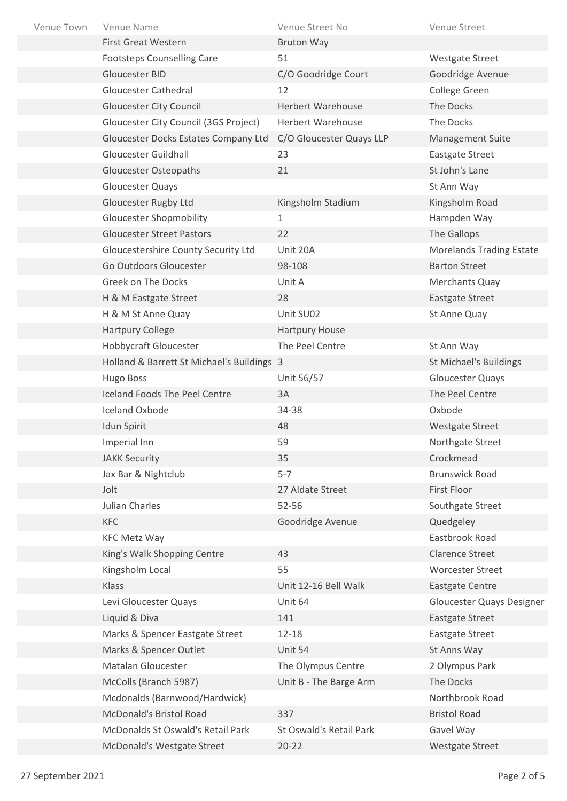| Venue Town | Venue Name                                 | Venue Street No          | Venue Street                    |
|------------|--------------------------------------------|--------------------------|---------------------------------|
|            | <b>First Great Western</b>                 | <b>Bruton Way</b>        |                                 |
|            | <b>Footsteps Counselling Care</b>          | 51                       | <b>Westgate Street</b>          |
|            | Gloucester BID                             | C/O Goodridge Court      | Goodridge Avenue                |
|            | <b>Gloucester Cathedral</b>                | 12                       | College Green                   |
|            | <b>Gloucester City Council</b>             | <b>Herbert Warehouse</b> | The Docks                       |
|            | Gloucester City Council (3GS Project)      | <b>Herbert Warehouse</b> | The Docks                       |
|            | Gloucester Docks Estates Company Ltd       | C/O Gloucester Quays LLP | <b>Management Suite</b>         |
|            | Gloucester Guildhall                       | 23                       | <b>Eastgate Street</b>          |
|            | <b>Gloucester Osteopaths</b>               | 21                       | St John's Lane                  |
|            | Gloucester Quays                           |                          | St Ann Way                      |
|            | <b>Gloucester Rugby Ltd</b>                | Kingsholm Stadium        | Kingsholm Road                  |
|            | <b>Gloucester Shopmobility</b>             | 1                        | Hampden Way                     |
|            | <b>Gloucester Street Pastors</b>           | 22                       | The Gallops                     |
|            | Gloucestershire County Security Ltd        | Unit 20A                 | <b>Morelands Trading Estate</b> |
|            | Go Outdoors Gloucester                     | 98-108                   | <b>Barton Street</b>            |
|            | Greek on The Docks                         | Unit A                   | Merchants Quay                  |
|            | H & M Eastgate Street                      | 28                       | Eastgate Street                 |
|            | H & M St Anne Quay                         | Unit SU02                | St Anne Quay                    |
|            | <b>Hartpury College</b>                    | Hartpury House           |                                 |
|            | Hobbycraft Gloucester                      | The Peel Centre          | St Ann Way                      |
|            | Holland & Barrett St Michael's Buildings 3 |                          | St Michael's Buildings          |
|            | Hugo Boss                                  | Unit 56/57               | Gloucester Quays                |
|            | Iceland Foods The Peel Centre              | 3A                       | The Peel Centre                 |
|            | Iceland Oxbode                             | 34-38                    | Oxbode                          |
|            | Idun Spirit                                | 48                       | <b>Westgate Street</b>          |
|            | Imperial Inn                               | 59                       | Northgate Street                |
|            | <b>JAKK Security</b>                       | 35                       | Crockmead                       |
|            | Jax Bar & Nightclub                        | $5 - 7$                  | <b>Brunswick Road</b>           |
|            | Jolt                                       | 27 Aldate Street         | First Floor                     |
|            | Julian Charles                             | 52-56                    | Southgate Street                |
|            | KFC                                        | Goodridge Avenue         | Quedgeley                       |
|            | <b>KFC Metz Way</b>                        |                          | Eastbrook Road                  |
|            | King's Walk Shopping Centre                | 43                       | <b>Clarence Street</b>          |
|            | Kingsholm Local                            | 55                       | <b>Worcester Street</b>         |
|            | Klass                                      | Unit 12-16 Bell Walk     | <b>Eastgate Centre</b>          |
|            | Levi Gloucester Quays                      | Unit 64                  | Gloucester Quays Designer       |
|            | Liquid & Diva                              | 141                      | <b>Eastgate Street</b>          |
|            | Marks & Spencer Eastgate Street            | $12 - 18$                | <b>Eastgate Street</b>          |
|            | Marks & Spencer Outlet                     | Unit 54                  | St Anns Way                     |
|            | Matalan Gloucester                         | The Olympus Centre       | 2 Olympus Park                  |
|            | McColls (Branch 5987)                      | Unit B - The Barge Arm   | The Docks                       |
|            | Mcdonalds (Barnwood/Hardwick)              |                          | Northbrook Road                 |
|            | McDonald's Bristol Road                    | 337                      | <b>Bristol Road</b>             |
|            | McDonalds St Oswald's Retail Park          | St Oswald's Retail Park  | Gavel Way                       |
|            | McDonald's Westgate Street                 | $20 - 22$                | Westgate Street                 |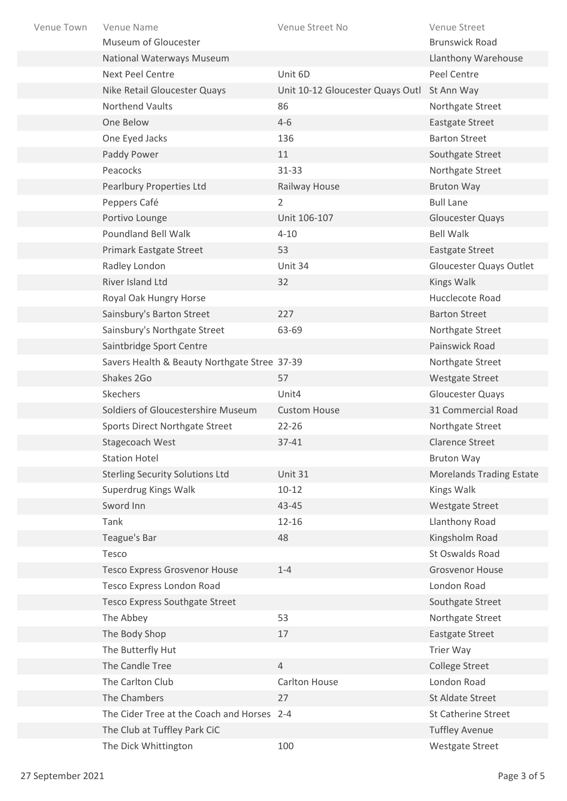| Venue Town | Venue Name                                   | Venue Street No                  | Venue Street                    |
|------------|----------------------------------------------|----------------------------------|---------------------------------|
|            | Museum of Gloucester                         |                                  | <b>Brunswick Road</b>           |
|            | National Waterways Museum                    |                                  | <b>Llanthony Warehouse</b>      |
|            | <b>Next Peel Centre</b>                      | Unit 6D                          | Peel Centre                     |
|            | Nike Retail Gloucester Quays                 | Unit 10-12 Gloucester Quays Outl | St Ann Way                      |
|            | Northend Vaults                              | 86                               | Northgate Street                |
|            | One Below                                    | $4 - 6$                          | <b>Eastgate Street</b>          |
|            | One Eyed Jacks                               | 136                              | <b>Barton Street</b>            |
|            | Paddy Power                                  | 11                               | Southgate Street                |
|            | Peacocks                                     | 31-33                            | Northgate Street                |
|            | Pearlbury Properties Ltd                     | Railway House                    | <b>Bruton Way</b>               |
|            | Peppers Café                                 | $\overline{2}$                   | <b>Bull Lane</b>                |
|            | Portivo Lounge                               | Unit 106-107                     | <b>Gloucester Quays</b>         |
|            | <b>Poundland Bell Walk</b>                   | $4 - 10$                         | <b>Bell Walk</b>                |
|            | Primark Eastgate Street                      | 53                               | <b>Eastgate Street</b>          |
|            | Radley London                                | Unit 34                          | Gloucester Quays Outlet         |
|            | River Island Ltd                             | 32                               | Kings Walk                      |
|            | Royal Oak Hungry Horse                       |                                  | Hucclecote Road                 |
|            | Sainsbury's Barton Street                    | 227                              | <b>Barton Street</b>            |
|            | Sainsbury's Northgate Street                 | 63-69                            | Northgate Street                |
|            | Saintbridge Sport Centre                     |                                  | Painswick Road                  |
|            | Savers Health & Beauty Northgate Stree 37-39 |                                  | Northgate Street                |
|            | Shakes 2Go                                   | 57                               | <b>Westgate Street</b>          |
|            | Skechers                                     | Unit4                            | Gloucester Quays                |
|            | Soldiers of Gloucestershire Museum           | <b>Custom House</b>              | 31 Commercial Road              |
|            | Sports Direct Northgate Street               | $22 - 26$                        | Northgate Street                |
|            | Stagecoach West                              | 37-41                            | <b>Clarence Street</b>          |
|            | <b>Station Hotel</b>                         |                                  | <b>Bruton Way</b>               |
|            | <b>Sterling Security Solutions Ltd</b>       | Unit 31                          | <b>Morelands Trading Estate</b> |
|            | Superdrug Kings Walk                         | $10 - 12$                        | Kings Walk                      |
|            | Sword Inn                                    | 43-45                            | <b>Westgate Street</b>          |
|            | Tank                                         | $12 - 16$                        | Llanthony Road                  |
|            | Teague's Bar                                 | 48                               | Kingsholm Road                  |
|            | Tesco                                        |                                  | St Oswalds Road                 |
|            | <b>Tesco Express Grosvenor House</b>         | $1 - 4$                          | <b>Grosvenor House</b>          |
|            | Tesco Express London Road                    |                                  | London Road                     |
|            | <b>Tesco Express Southgate Street</b>        |                                  | Southgate Street                |
|            | The Abbey                                    | 53                               | Northgate Street                |
|            | The Body Shop                                | 17                               | <b>Eastgate Street</b>          |
|            | The Butterfly Hut                            |                                  | <b>Trier Way</b>                |
|            | The Candle Tree                              | $\overline{4}$                   | <b>College Street</b>           |
|            | The Carlton Club                             | Carlton House                    | London Road                     |
|            | The Chambers                                 | 27                               | St Aldate Street                |
|            | The Cider Tree at the Coach and Horses 2-4   |                                  | <b>St Catherine Street</b>      |
|            | The Club at Tuffley Park CiC                 |                                  | <b>Tuffley Avenue</b>           |
|            | The Dick Whittington                         | 100                              | Westgate Street                 |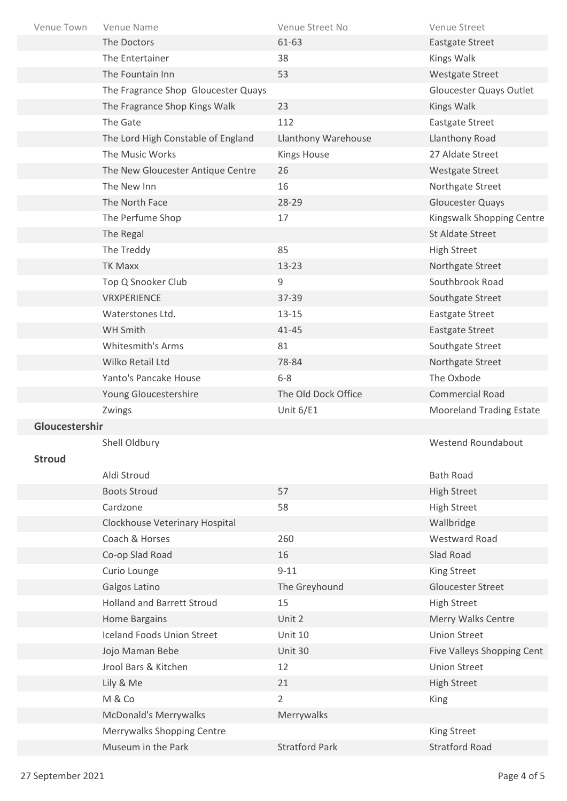| Venue Town     | Venue Name                          | Venue Street No       | Venue Street                    |
|----------------|-------------------------------------|-----------------------|---------------------------------|
|                | The Doctors                         | 61-63                 | <b>Eastgate Street</b>          |
|                | The Entertainer                     | 38                    | Kings Walk                      |
|                | The Fountain Inn                    | 53                    | <b>Westgate Street</b>          |
|                | The Fragrance Shop Gloucester Quays |                       | Gloucester Quays Outlet         |
|                | The Fragrance Shop Kings Walk       | 23                    | Kings Walk                      |
|                | The Gate                            | 112                   | <b>Eastgate Street</b>          |
|                | The Lord High Constable of England  | Llanthony Warehouse   | Llanthony Road                  |
|                | The Music Works                     | <b>Kings House</b>    | 27 Aldate Street                |
|                | The New Gloucester Antique Centre   | 26                    | Westgate Street                 |
|                | The New Inn                         | 16                    | Northgate Street                |
|                | The North Face                      | 28-29                 | <b>Gloucester Quays</b>         |
|                | The Perfume Shop                    | 17                    | Kingswalk Shopping Centre       |
|                | The Regal                           |                       | St Aldate Street                |
|                | The Treddy                          | 85                    | <b>High Street</b>              |
|                | TK Maxx                             | $13 - 23$             | Northgate Street                |
|                | Top Q Snooker Club                  | 9                     | Southbrook Road                 |
|                | VRXPERIENCE                         | 37-39                 | Southgate Street                |
|                | Waterstones Ltd.                    | $13 - 15$             | <b>Eastgate Street</b>          |
|                | WH Smith                            | $41 - 45$             | Eastgate Street                 |
|                | <b>Whitesmith's Arms</b>            | 81                    | Southgate Street                |
|                | Wilko Retail Ltd                    | 78-84                 | Northgate Street                |
|                | Yanto's Pancake House               | $6 - 8$               | The Oxbode                      |
|                | Young Gloucestershire               | The Old Dock Office   | <b>Commercial Road</b>          |
|                | Zwings                              | Unit $6/E1$           | <b>Mooreland Trading Estate</b> |
| Gloucestershir |                                     |                       |                                 |
|                | Shell Oldbury                       |                       | Westend Roundabout              |
| <b>Stroud</b>  |                                     |                       |                                 |
|                | Aldi Stroud                         |                       | <b>Bath Road</b>                |
|                | <b>Boots Stroud</b>                 | 57                    | <b>High Street</b>              |
|                | Cardzone                            | 58                    | <b>High Street</b>              |
|                | Clockhouse Veterinary Hospital      |                       | Wallbridge                      |
|                | Coach & Horses                      | 260                   | Westward Road                   |
|                | Co-op Slad Road                     | 16                    | Slad Road                       |
|                | Curio Lounge                        | $9 - 11$              | King Street                     |
|                | Galgos Latino                       | The Greyhound         | <b>Gloucester Street</b>        |
|                | <b>Holland and Barrett Stroud</b>   | 15                    | <b>High Street</b>              |
|                | <b>Home Bargains</b>                | Unit 2                | Merry Walks Centre              |
|                | <b>Iceland Foods Union Street</b>   | <b>Unit 10</b>        | <b>Union Street</b>             |
|                | Jojo Maman Bebe                     | Unit 30               | Five Valleys Shopping Cent      |
|                | Jrool Bars & Kitchen                | 12                    | <b>Union Street</b>             |
|                | Lily & Me                           | 21                    | <b>High Street</b>              |
|                | M & Co                              | $\overline{2}$        | King                            |
|                | <b>McDonald's Merrywalks</b>        | Merrywalks            |                                 |
|                | Merrywalks Shopping Centre          |                       | King Street                     |
|                | Museum in the Park                  | <b>Stratford Park</b> | <b>Stratford Road</b>           |